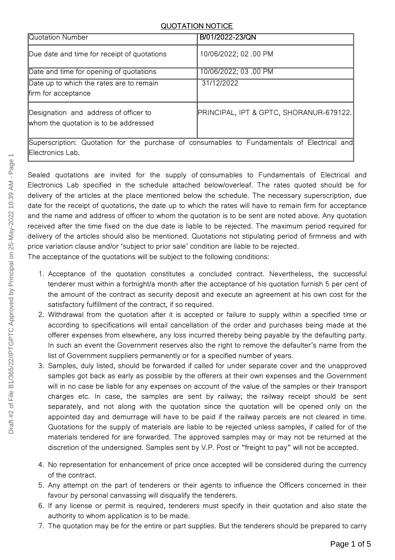## QUOTATION NOTICE

| Quotation Number                                                                                                | B/01/2022-23/QN                         |  |
|-----------------------------------------------------------------------------------------------------------------|-----------------------------------------|--|
| Due date and time for receipt of quotations                                                                     | 10/06/2022; 02 .00 PM                   |  |
| Date and time for opening of quotations                                                                         | 10/06/2022; 03 .00 PM                   |  |
| Date up to which the rates are to remain<br>firm for acceptance                                                 | 31/12/2022                              |  |
| Designation and address of officer to<br>whom the quotation is to be addressed                                  | PRINCIPAL, IPT & GPTC, SHORANUR-679122. |  |
| Superscription: Quotation for the purchase of consumables to Fundamentals of Electrical and<br>Electronics Lab. |                                         |  |

Sealed quotations are invited for the supply of consumables to Fundamentals of Electrical and Electronics Lab specified in the schedule attached below/overleaf. The rates quoted should be for delivery of the articles at the place mentioned below the schedule. The necessary superscription, due date for the receipt of quotations, the date up to which the rates will have to remain firm for acceptance and the name and address of officer to whom the quotation is to be sent are noted above. Any quotation received after the time fixed on the due date is liable to be rejected. The maximum period required for delivery of the articles should also be mentioned. Quotations not stipulating period of firmness and with price variation clause and/or 'subject to prior sale' condition are liable to be rejected.

The acceptance of the quotations will be subject to the following conditions:

- 1. Acceptance of the quotation constitutes a concluded contract. Nevertheless, the successful tenderer must within a fortnight/a month after the acceptance of his quotation furnish 5 per cent of the amount of the contract as security deposit and execute an agreement at his own cost for the satisfactory fulfillment of the contract, if so required.
- 2. Withdrawal from the quotation after it is accepted or failure to supply within a specified time or according to specifications will entail cancellation of the order and purchases being made at the offerer expenses from elsewhere, any loss incurred thereby being payable by the defaulting party. In such an event the Government reserves also the right to remove the defaulter's name from the list of Government suppliers permanently or for a specified number of years.
- 3. Samples, duly listed, should be forwarded if called for under separate cover and the unapproved samples got back as early as possible by the offerers at their own expenses and the Government will in no case be liable for any expenses on account of the value of the samples or their transport charges etc. In case, the samples are sent by railway; the railway receipt should be sent separately, and not along with the quotation since the quotation will be opened only on the appointed day and demurrage will have to be paid if the railway parcels are not cleared in time. Quotations for the supply of materials are liable to be rejected unless samples, if called for of the materials tendered for are forwarded. The approved samples may or may not be returned at the discretion of the undersigned. Samples sent by V.P. Post or "freight to pay" will not be accepted.
- 4. No representation for enhancement of price once accepted will be considered during the currency of the contract.
- 5. Any attempt on the part of tenderers or their agents to influence the Officers concerned in their favour by personal canvassing will disqualify the tenderers.
- 6. If any license or permit is required, tenderers must specify in their quotation and also state the authority to whom application is to be made.
- 7. The quotation may be for the entire or part supplies. But the tenderers should be prepared to carry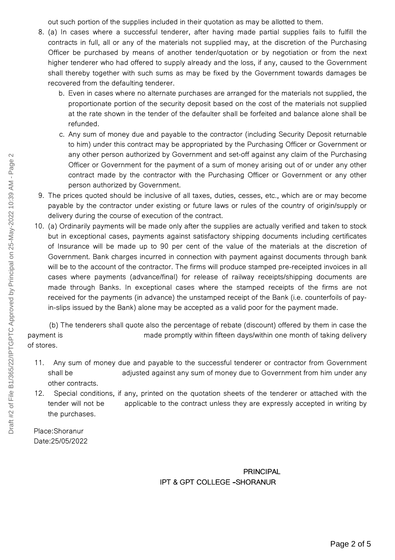out such portion of the supplies included in their quotation as may be allotted to them.

- 8. (a) In cases where a successful tenderer, after having made partial supplies fails to fulfill the contracts in full, all or any of the materials not supplied may, at the discretion of the Purchasing Officer be purchased by means of another tender/quotation or by negotiation or from the next higher tenderer who had offered to supply already and the loss, if any, caused to the Government shall thereby together with such sums as may be fixed by the Government towards damages be recovered from the defaulting tenderer.
	- b. Even in cases where no alternate purchases are arranged for the materials not supplied, the proportionate portion of the security deposit based on the cost of the materials not supplied at the rate shown in the tender of the defaulter shall be forfeited and balance alone shall be refunded.
	- c. Any sum of money due and payable to the contractor (including Security Deposit returnable to him) under this contract may be appropriated by the Purchasing Officer or Government or any other person authorized by Government and set-off against any claim of the Purchasing Officer or Government for the payment of a sum of money arising out of or under any other contract made by the contractor with the Purchasing Officer or Government or any other person authorized by Government.
- 9. The prices quoted should be inclusive of all taxes, duties, cesses, etc., which are or may become payable by the contractor under existing or future laws or rules of the country of origin/supply or delivery during the course of execution of the contract.
- 10. (a) Ordinarily payments will be made only after the supplies are actually verified and taken to stock but in exceptional cases, payments against satisfactory shipping documents including certificates of Insurance will be made up to 90 per cent of the value of the materials at the discretion of Government. Bank charges incurred in connection with payment against documents through bank will be to the account of the contractor. The firms will produce stamped pre-receipted invoices in all cases where payments (advance/final) for release of railway receipts/shipping documents are made through Banks. In exceptional cases where the stamped receipts of the firms are not received for the payments (in advance) the unstamped receipt of the Bank (i.e. counterfoils of payin-slips issued by the Bank) alone may be accepted as a valid poor for the payment made.

(b) The tenderers shall quote also the percentage of rebate (discount) offered by them in case the payment is mate promptly within fifteen days/within one month of taking delivery of stores.

- 11. Any sum of money due and payable to the successful tenderer or contractor from Government shall be adjusted against any sum of money due to Government from him under any other contracts.
- 12. Special conditions, if any, printed on the quotation sheets of the tenderer or attached with the tender will not be applicable to the contract unless they are expressly accepted in writing by the purchases.

Place:Shoranur Date:25/05/2022

> PRINCIPAL IPT & GPT COLLEGE **–**SHORANUR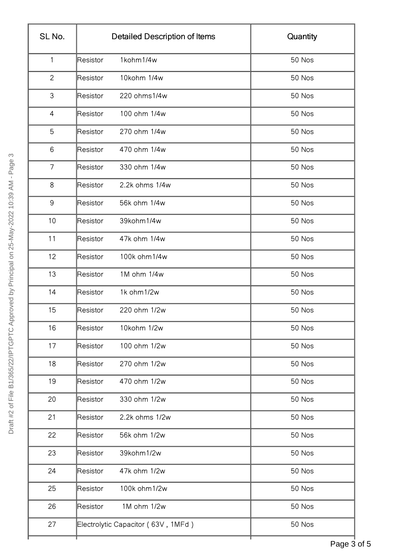| SL No.         | <b>Detailed Description of Items</b> | Quantity |
|----------------|--------------------------------------|----------|
| $\mathbf{1}$   | 1kohm1/4w<br>Resistor                | 50 Nos   |
| $\overline{c}$ | 10kohm 1/4w<br>Resistor              | 50 Nos   |
| $\mathsf 3$    | 220 ohms1/4w<br>Resistor             | 50 Nos   |
| 4              | 100 ohm 1/4w<br>Resistor             | 50 Nos   |
| 5              | 270 ohm 1/4w<br>Resistor             | 50 Nos   |
| 6              | Resistor<br>470 ohm 1/4w             | 50 Nos   |
| $\overline{7}$ | 330 ohm 1/4w<br>Resistor             | 50 Nos   |
| 8              | 2.2k ohms 1/4w<br>Resistor           | 50 Nos   |
| 9              | 56k ohm 1/4w<br>Resistor             | 50 Nos   |
| 10             | Resistor<br>39kohm1/4w               | 50 Nos   |
| 11             | 47k ohm 1/4w<br>Resistor             | 50 Nos   |
| 12             | 100k ohm 1/4w<br>Resistor            | 50 Nos   |
| 13             | 1M ohm 1/4w<br>Resistor              | 50 Nos   |
| 14             | 1k ohm 1/2w<br>Resistor              | 50 Nos   |
| 15             | 220 ohm 1/2w<br>Resistor             | 50 Nos   |
| 16             | 10kohm 1/2w<br>Resistor              | 50 Nos   |
| 17             | 100 ohm 1/2w<br>Resistor             | 50 Nos   |
| 18             | 270 ohm 1/2w<br>Resistor             | 50 Nos   |
| 19             | 470 ohm 1/2w<br>Resistor             | 50 Nos   |
| 20             | 330 ohm 1/2w<br>Resistor             | 50 Nos   |
| 21             | 2.2k ohms 1/2w<br>Resistor           | 50 Nos   |
| 22             | 56k ohm 1/2w<br>Resistor             | 50 Nos   |
| 23             | 39kohm1/2w<br>Resistor               | 50 Nos   |
| 24             | 47k ohm 1/2w<br>Resistor             | 50 Nos   |
| 25             | 100k ohm 1/2w<br>Resistor            | 50 Nos   |
| 26             | 1M ohm 1/2w<br>Resistor              | 50 Nos   |
| 27             | Electrolytic Capacitor (63V, 1MFd)   | 50 Nos   |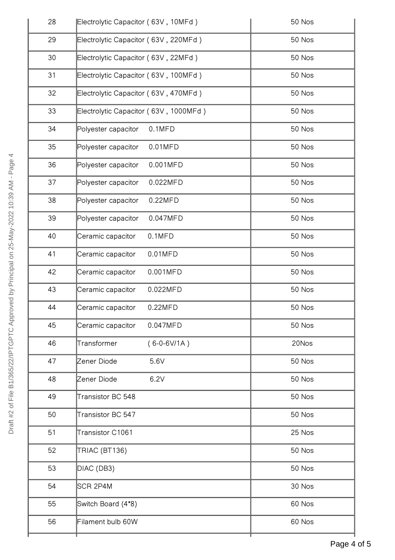| 28 | Electrolytic Capacitor (63V, 10MFd)   | 50 Nos |
|----|---------------------------------------|--------|
| 29 | Electrolytic Capacitor (63V, 220MFd)  | 50 Nos |
| 30 | Electrolytic Capacitor (63V, 22MFd)   | 50 Nos |
| 31 | Electrolytic Capacitor (63V, 100MFd)  | 50 Nos |
| 32 | Electrolytic Capacitor (63V, 470MFd)  | 50 Nos |
| 33 | Electrolytic Capacitor (63V, 1000MFd) | 50 Nos |
| 34 | $0.1$ MFD<br>Polyester capacitor      | 50 Nos |
| 35 | Polyester capacitor<br>$0.01$ MFD     | 50 Nos |
| 36 | Polyester capacitor<br>0.001MFD       | 50 Nos |
| 37 | Polyester capacitor<br>0.022MFD       | 50 Nos |
| 38 | Polyester capacitor<br>0.22MFD        | 50 Nos |
| 39 | Polyester capacitor<br>0.047MFD       | 50 Nos |
| 40 | Ceramic capacitor<br>$0.1$ MFD        | 50 Nos |
| 41 | $0.01$ MFD<br>Ceramic capacitor       | 50 Nos |
| 42 | Ceramic capacitor<br>0.001MFD         | 50 Nos |
| 43 | Ceramic capacitor<br>0.022MFD         | 50 Nos |
| 44 | 0.22MFD<br>Ceramic capacitor          | 50 Nos |
| 45 | Ceramic capacitor<br>0.047MFD         | 50 Nos |
| 46 | Transformer<br>$(6-0-6V/1A)$          | 20Nos  |
| 47 | 5.6V<br>Zener Diode                   | 50 Nos |
| 48 | 6.2V<br>Zener Diode                   | 50 Nos |
| 49 | Transistor BC 548                     | 50 Nos |
| 50 | Transistor BC 547                     | 50 Nos |
| 51 | Transistor C1061                      | 25 Nos |
| 52 | TRIAC (BT136)                         | 50 Nos |
| 53 | DIAC (DB3)                            | 50 Nos |
| 54 | SCR 2P4M                              | 30 Nos |
| 55 | Switch Board (4*8)                    | 60 Nos |
| 56 | Filament bulb 60W                     | 60 Nos |
|    |                                       |        |